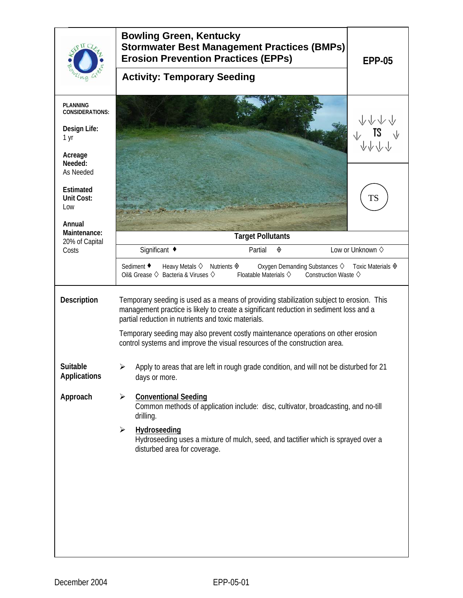|                                                                              | <b>Bowling Green, Kentucky</b><br><b>Stormwater Best Management Practices (BMPs)</b><br><b>Erosion Prevention Practices (EPPs)</b><br><b>EPP-05</b><br><b>Activity: Temporary Seeding</b>                                                                                                                                                                                                                    |  |  |  |  |
|------------------------------------------------------------------------------|--------------------------------------------------------------------------------------------------------------------------------------------------------------------------------------------------------------------------------------------------------------------------------------------------------------------------------------------------------------------------------------------------------------|--|--|--|--|
| <b>PLANNING</b><br><b>CONSIDERATIONS:</b><br>Design Life:<br>1 yr<br>Acreage |                                                                                                                                                                                                                                                                                                                                                                                                              |  |  |  |  |
| Needed:<br>As Needed<br><b>Estimated</b><br>Unit Cost:<br>Low<br>Annual      | TS                                                                                                                                                                                                                                                                                                                                                                                                           |  |  |  |  |
| Maintenance:<br>20% of Capital                                               | <b>Target Pollutants</b>                                                                                                                                                                                                                                                                                                                                                                                     |  |  |  |  |
| Costs                                                                        | Significant ◆<br>Partial<br>Low or Unknown $\diamond$<br>◈                                                                                                                                                                                                                                                                                                                                                   |  |  |  |  |
|                                                                              | Sediment ♦<br>Oxygen Demanding Substances ♦ Toxic Materials ♦<br>Heavy Metals $\diamond$ Nutrients $\diamondsuit$<br>Oil& Grease $\diamondsuit$ Bacteria & Viruses $\diamondsuit$<br>Floatable Materials $\diamondsuit$<br>Construction Waste $\diamondsuit$                                                                                                                                                 |  |  |  |  |
| <b>Description</b>                                                           | Temporary seeding is used as a means of providing stabilization subject to erosion. This<br>management practice is likely to create a significant reduction in sediment loss and a<br>partial reduction in nutrients and toxic materials.<br>Temporary seeding may also prevent costly maintenance operations on other erosion<br>control systems and improve the visual resources of the construction area. |  |  |  |  |
| Suitable<br><b>Applications</b>                                              | Apply to areas that are left in rough grade condition, and will not be disturbed for 21<br>days or more.                                                                                                                                                                                                                                                                                                     |  |  |  |  |
| Approach                                                                     | <b>Conventional Seeding</b><br>➤<br>Common methods of application include: disc, cultivator, broadcasting, and no-till<br>drilling.                                                                                                                                                                                                                                                                          |  |  |  |  |
|                                                                              | Hydroseeding<br>$\blacktriangleright$<br>Hydroseeding uses a mixture of mulch, seed, and tactifier which is sprayed over a<br>disturbed area for coverage.                                                                                                                                                                                                                                                   |  |  |  |  |
|                                                                              |                                                                                                                                                                                                                                                                                                                                                                                                              |  |  |  |  |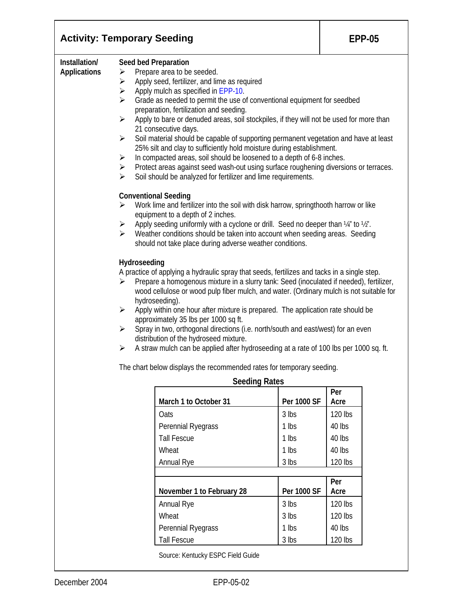| <b>Activity: Temporary Seeding</b>                                                                                                                                                                                                                                                                                                                                                                       | <b>EPP-05</b>                                                                                         |                                                                                                                                                                                                                                                                                                                                                                                                                                                                                                                                                                                                                                                                                                                                                                                       |                |                   |  |  |  |
|----------------------------------------------------------------------------------------------------------------------------------------------------------------------------------------------------------------------------------------------------------------------------------------------------------------------------------------------------------------------------------------------------------|-------------------------------------------------------------------------------------------------------|---------------------------------------------------------------------------------------------------------------------------------------------------------------------------------------------------------------------------------------------------------------------------------------------------------------------------------------------------------------------------------------------------------------------------------------------------------------------------------------------------------------------------------------------------------------------------------------------------------------------------------------------------------------------------------------------------------------------------------------------------------------------------------------|----------------|-------------------|--|--|--|
| Installation/<br><b>Applications</b>                                                                                                                                                                                                                                                                                                                                                                     | ➤<br>➤<br>$\blacktriangleright$<br>$\blacktriangleright$<br>$\blacktriangleright$<br>➤<br>➤<br>≻<br>≻ | Seed bed Preparation<br>Prepare area to be seeded.<br>Apply seed, fertilizer, and lime as required<br>Apply mulch as specified in EPP-10.<br>Grade as needed to permit the use of conventional equipment for seedbed<br>preparation, fertilization and seeding.<br>Apply to bare or denuded areas, soil stockpiles, if they will not be used for more than<br>21 consecutive days.<br>Soil material should be capable of supporting permanent vegetation and have at least<br>25% silt and clay to sufficiently hold moisture during establishment.<br>In compacted areas, soil should be loosened to a depth of 6-8 inches.<br>Protect areas against seed wash-out using surface roughening diversions or terraces.<br>Soil should be analyzed for fertilizer and lime requirements. |                |                   |  |  |  |
| <b>Conventional Seeding</b><br>Work lime and fertilizer into the soil with disk harrow, springthooth harrow or like<br>≻<br>equipment to a depth of 2 inches.<br>Apply seeding uniformly with a cyclone or drill. Seed no deeper than 1/4" to 1/2".<br>➤<br>Weather conditions should be taken into account when seeding areas. Seeding<br>≻<br>should not take place during adverse weather conditions. |                                                                                                       |                                                                                                                                                                                                                                                                                                                                                                                                                                                                                                                                                                                                                                                                                                                                                                                       |                |                   |  |  |  |
|                                                                                                                                                                                                                                                                                                                                                                                                          | Hydroseeding<br>➤<br>$\blacktriangleright$<br>$\blacktriangleright$<br>➤                              | A practice of applying a hydraulic spray that seeds, fertilizes and tacks in a single step.<br>Prepare a homogenous mixture in a slurry tank: Seed (inoculated if needed), fertilizer,<br>wood cellulose or wood pulp fiber mulch, and water. (Ordinary mulch is not suitable for<br>hydroseeding).<br>Apply within one hour after mixture is prepared. The application rate should be<br>approximately 35 lbs per 1000 sq ft.<br>Spray in two, orthogonal directions (i.e. north/south and east/west) for an even<br>distribution of the hydroseed mixture.<br>A straw mulch can be applied after hydroseeding at a rate of 100 lbs per 1000 sq. ft.                                                                                                                                 |                |                   |  |  |  |
|                                                                                                                                                                                                                                                                                                                                                                                                          | The chart below displays the recommended rates for temporary seeding.                                 |                                                                                                                                                                                                                                                                                                                                                                                                                                                                                                                                                                                                                                                                                                                                                                                       |                |                   |  |  |  |
|                                                                                                                                                                                                                                                                                                                                                                                                          |                                                                                                       | <b>Seeding Rates</b>                                                                                                                                                                                                                                                                                                                                                                                                                                                                                                                                                                                                                                                                                                                                                                  |                | Per               |  |  |  |
|                                                                                                                                                                                                                                                                                                                                                                                                          |                                                                                                       | March 1 to October 31                                                                                                                                                                                                                                                                                                                                                                                                                                                                                                                                                                                                                                                                                                                                                                 | Per 1000 SF    | Acre              |  |  |  |
|                                                                                                                                                                                                                                                                                                                                                                                                          |                                                                                                       | Oats<br>Perennial Ryegrass                                                                                                                                                                                                                                                                                                                                                                                                                                                                                                                                                                                                                                                                                                                                                            | 3 lbs<br>1 lbs | 120 lbs<br>40 lbs |  |  |  |
|                                                                                                                                                                                                                                                                                                                                                                                                          |                                                                                                       | <b>Tall Fescue</b>                                                                                                                                                                                                                                                                                                                                                                                                                                                                                                                                                                                                                                                                                                                                                                    | 1 lbs          | 40 lbs            |  |  |  |
|                                                                                                                                                                                                                                                                                                                                                                                                          |                                                                                                       | Wheat                                                                                                                                                                                                                                                                                                                                                                                                                                                                                                                                                                                                                                                                                                                                                                                 | 1 lbs          | 40 lbs            |  |  |  |
|                                                                                                                                                                                                                                                                                                                                                                                                          |                                                                                                       | Annual Rye                                                                                                                                                                                                                                                                                                                                                                                                                                                                                                                                                                                                                                                                                                                                                                            | 3 lbs          | 120 lbs           |  |  |  |
|                                                                                                                                                                                                                                                                                                                                                                                                          |                                                                                                       |                                                                                                                                                                                                                                                                                                                                                                                                                                                                                                                                                                                                                                                                                                                                                                                       |                | Per               |  |  |  |
|                                                                                                                                                                                                                                                                                                                                                                                                          |                                                                                                       | November 1 to February 28                                                                                                                                                                                                                                                                                                                                                                                                                                                                                                                                                                                                                                                                                                                                                             | Per 1000 SF    | Acre              |  |  |  |
|                                                                                                                                                                                                                                                                                                                                                                                                          |                                                                                                       | Annual Rye                                                                                                                                                                                                                                                                                                                                                                                                                                                                                                                                                                                                                                                                                                                                                                            | 3 lbs          | 120 lbs           |  |  |  |
|                                                                                                                                                                                                                                                                                                                                                                                                          |                                                                                                       | Wheat<br>Perennial Ryegrass                                                                                                                                                                                                                                                                                                                                                                                                                                                                                                                                                                                                                                                                                                                                                           | 3 lbs<br>1 lbs | 120 lbs<br>40 lbs |  |  |  |
|                                                                                                                                                                                                                                                                                                                                                                                                          |                                                                                                       | <b>Tall Fescue</b>                                                                                                                                                                                                                                                                                                                                                                                                                                                                                                                                                                                                                                                                                                                                                                    | 3 lbs          | 120 lbs           |  |  |  |
|                                                                                                                                                                                                                                                                                                                                                                                                          |                                                                                                       |                                                                                                                                                                                                                                                                                                                                                                                                                                                                                                                                                                                                                                                                                                                                                                                       |                |                   |  |  |  |

Source: Kentucky ESPC Field Guide